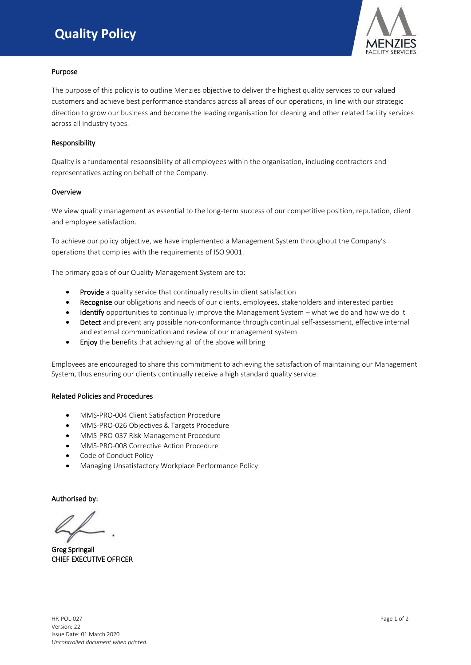# **Quality Policy**



# Purpose

The purpose of this policy is to outline Menzies objective to deliver the highest quality services to our valued customers and achieve best performance standards across all areas of our operations, in line with our strategic direction to grow our business and become the leading organisation for cleaning and other related facility services across all industry types.

# Responsibility

Quality is a fundamental responsibility of all employees within the organisation, including contractors and representatives acting on behalf of the Company.

### **Overview**

We view quality management as essential to the long-term success of our competitive position, reputation, client and employee satisfaction.

To achieve our policy objective, we have implemented a Management System throughout the Company's operations that complies with the requirements of ISO 9001.

The primary goals of our Quality Management System are to:

- Provide a quality service that continually results in client satisfaction
- Recognise our obligations and needs of our clients, employees, stakeholders and interested parties
- Identify opportunities to continually improve the Management System what we do and how we do it
- Detect and prevent any possible non-conformance through continual self-assessment, effective internal and external communication and review of our management system.
- Enjoy the benefits that achieving all of the above will bring

Employees are encouraged to share this commitment to achieving the satisfaction of maintaining our Management System, thus ensuring our clients continually receive a high standard quality service.

# Related Policies and Procedures

- MMS-PRO-004 Client Satisfaction Procedure
- MMS-PRO-026 Objectives & Targets Procedure
- MMS-PRO-037 Risk Management Procedure
- MMS-PRO-008 Corrective Action Procedure
- Code of Conduct Policy
- Managing Unsatisfactory Workplace Performance Policy

Authorised by:

Greg Springall CHIEF EXECUTIVE OFFICER